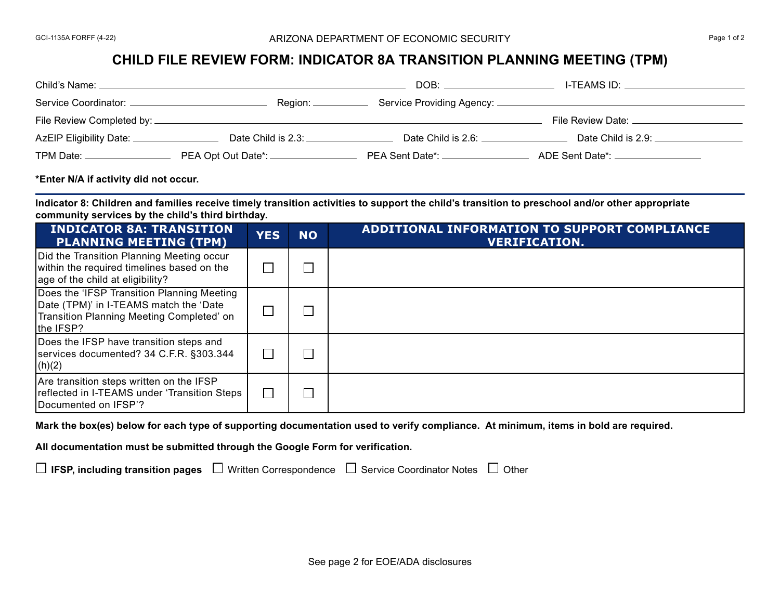## **CHILD FILE REVIEW FORM: INDICATOR 8A TRANSITION PLANNING MEETING (TPM)**

| Child's Name: _                     |                                    | DOB:               | I-TEAMS ID:                 |  |
|-------------------------------------|------------------------------------|--------------------|-----------------------------|--|
| Service Coordinator: _              | Region: ______                     |                    |                             |  |
| File Review Completed by: ___       |                                    |                    | File Review Date: ____      |  |
| AzEIP Eligibility Date: ___________ | Date Child is 2.3:                 | Date Child is 2.6: | Date Child is $2.9:$ $\_\_$ |  |
| TPM Date:                           | PEA Opt Out Date*: _______________ | PEA Sent Date*:    | ADE Sent Date*: ____        |  |

## **\*Enter N/A if activity did not occur.**

**Indicator 8: Children and families receive timely transition activities to support the child's transition to preschool and/or other appropriate community services by the child's third birthday.**

| <b>INDICATOR 8A: TRANSITION</b><br><b>PLANNING MEETING (TPM)</b>                                                                               | <b>YES</b> | <b>NO</b> | <b>ADDITIONAL INFORMATION TO SUPPORT COMPLIANCE</b><br><b>VERIFICATION.</b> |
|------------------------------------------------------------------------------------------------------------------------------------------------|------------|-----------|-----------------------------------------------------------------------------|
| Did the Transition Planning Meeting occur<br>within the required timelines based on the<br>age of the child at eligibility?                    |            |           |                                                                             |
| Does the 'IFSP Transition Planning Meeting<br>Date (TPM)' in I-TEAMS match the 'Date<br>Transition Planning Meeting Completed' on<br>the IFSP? |            |           |                                                                             |
| Does the IFSP have transition steps and<br>services documented? 34 C.F.R. §303.344<br>(h)(2)                                                   |            |           |                                                                             |
| Are transition steps written on the IFSP<br>reflected in I-TEAMS under 'Transition Steps<br>Documented on IFSP'?                               |            |           |                                                                             |

**Mark the box(es) below for each type of supporting documentation used to verify compliance. At minimum, items in bold are required.**

**All documentation must be submitted through the Google Form for verification.**

 $\Box$  **IFSP, including transition pages**  $\Box$  Written Correspondence  $\Box$  Service Coordinator Notes  $\Box$  Other